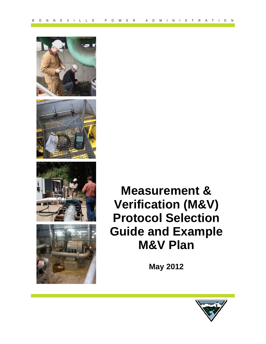

# **Measurement & Verification (M&V) Protocol Selection Guide and Example M&V Plan**

**May 2012**

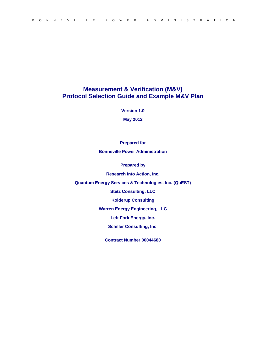## **Measurement & Verification (M&V) Protocol Selection Guide and Example M&V Plan**

**Version 1.0** 

**May 2012** 

#### **Prepared for**

**Bonneville Power Administration** 

**Prepared by** 

**Research Into Action, Inc.** 

**Quantum Energy Services & Technologies, Inc. (QuEST)** 

**Stetz Consulting, LLC** 

**Kolderup Consulting** 

**Warren Energy Engineering, LLC** 

**Left Fork Energy, Inc.** 

**Schiller Consulting, Inc.** 

**Contract Number 00044680**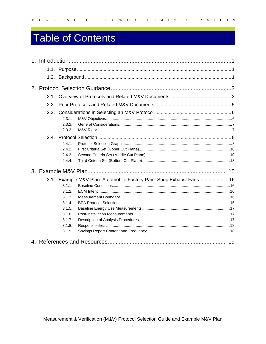# **Table of Contents**

|  | 2.3.1.<br>2.3.2.<br>2.3.3.                                                             |                                                                      |  |
|--|----------------------------------------------------------------------------------------|----------------------------------------------------------------------|--|
|  | 2.4.1.<br>2.4.2.<br>2.4.3.<br>2.4.4.                                                   |                                                                      |  |
|  |                                                                                        |                                                                      |  |
|  | 3.1.1.<br>3.1.2.<br>3.1.3.<br>3.1.4.<br>3.1.5.<br>3.1.6.<br>3.1.7.<br>3.1.8.<br>3.1.9. | 3.1. Example M&V Plan: Automobile Factory Paint Shop Exhaust Fans 16 |  |
|  |                                                                                        |                                                                      |  |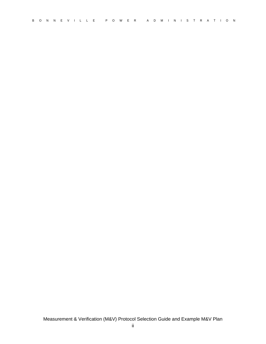| BONNEVILLE POWER ADMINISTRATION |  |  |  |  |  |  |  |  |  |  |  |  |  |  |  |  |  |  |  |  |  |  |  |  |  |
|---------------------------------|--|--|--|--|--|--|--|--|--|--|--|--|--|--|--|--|--|--|--|--|--|--|--|--|--|
|---------------------------------|--|--|--|--|--|--|--|--|--|--|--|--|--|--|--|--|--|--|--|--|--|--|--|--|--|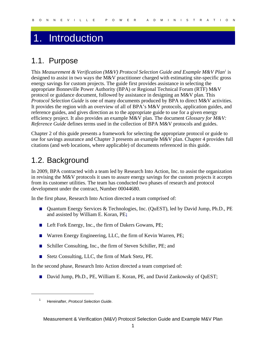# **Introduction**

# 1.1. Purpose

This *Measurement & Verification (M&V) Protocol Selection Guide and Example M&V Plan<sup>1</sup> is* designed to assist in two ways the M&V practitioner charged with estimating site-specific gross energy savings for custom projects. The guide first provides assistance in selecting the appropriate Bonneville Power Authority (BPA) or Regional Technical Forum (RTF) M&V protocol or guidance document, followed by assistance in designing an M&V plan. This *Protocol Selection Guide* is one of many documents produced by BPA to direct M&V activities. It provides the region with an overview of all of BPA's M&V protocols, application guides, and reference guides, and gives direction as to the appropriate guide to use for a given energy efficiency project. It also provides an example M&V plan. The document *Glossary for M&V: Reference Guide* defines terms used in the collection of BPA M&V protocols and guides.

Chapter 2 of this guide presents a framework for selecting the appropriate protocol or guide to use for savings assurance and Chapter 3 presents an example M&V plan. Chapter 4 provides full citations (and web locations, where applicable) of documents referenced in this guide.

# 1.2. Background

In 2009, BPA contracted with a team led by Research Into Action, Inc. to assist the organization in revising the M&V protocols it uses to assure energy savings for the custom projects it accepts from its customer utilities. The team has conducted two phases of research and protocol development under the contract, Number 00044680.

In the first phase, Research Into Action directed a team comprised of:

- Quantum Energy Services & Technologies, Inc. (QuEST), led by David Jump, Ph.D., PE and assisted by William E. Koran, PE**;**
- Left Fork Energy, Inc., the firm of Dakers Gowans, PE;
- Warren Energy Engineering, LLC, the firm of Kevin Warren, PE;
- Schiller Consulting, Inc., the firm of Steven Schiller, PE; and
- Stetz Consulting, LLC, the firm of Mark Stetz, PE.

In the second phase, Research Into Action directed a team comprised of:

■ David Jump, Ph.D., PE, William E. Koran, PE, and David Zankowsky of QuEST;

 $\overline{a}$ 

<sup>1</sup> Hereinafter, *Protocol Selection Guide*.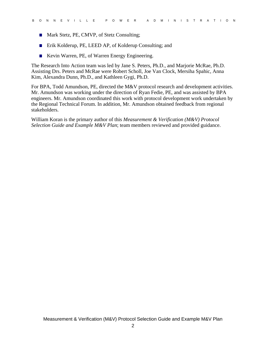- Mark Stetz, PE, CMVP, of Stetz Consulting;
- Erik Kolderup, PE, LEED AP, of Kolderup Consulting; and
- Kevin Warren, PE, of Warren Energy Engineering.

The Research Into Action team was led by Jane S. Peters, Ph.D., and Marjorie McRae, Ph.D. Assisting Drs. Peters and McRae were Robert Scholl, Joe Van Clock, Mersiha Spahic, Anna Kim, Alexandra Dunn, Ph.D., and Kathleen Gygi, Ph.D.

For BPA, Todd Amundson, PE, directed the M&V protocol research and development activities. Mr. Amundson was working under the direction of Ryan Fedie, PE, and was assisted by BPA engineers. Mr. Amundson coordinated this work with protocol development work undertaken by the Regional Technical Forum. In addition, Mr. Amundson obtained feedback from regional stakeholders.

William Koran is the primary author of this *Measurement & Verification (M&V) Protocol Selection Guide and Example M&V Plan*; team members reviewed and provided guidance.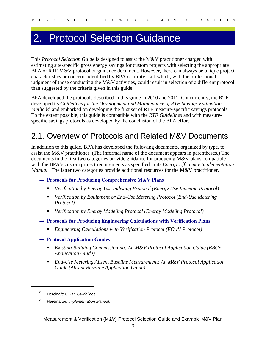# **Protocol Selection Guidance**

This *Protocol Selection Guide* is designed to assist the M&V practitioner charged with estimating site-specific gross energy savings for custom projects with selecting the appropriate BPA or RTF M&V protocol or guidance document. However, there can always be unique project characteristics or concerns identified by BPA or utility staff which, with the professional judgment of those conducting the M&V activities, could result in selection of a different protocol than suggested by the criteria given in this guide.

BPA developed the protocols described in this guide in 2010 and 2011. Concurrently, the RTF developed its *Guidelines for the Development and Maintenance of RTF Savings Estimation*  Methods<sup>2</sup> and embarked on developing the first set of RTF measure-specific savings protocols. To the extent possible, this guide is compatible with the *RTF Guidelines* and with measurespecific savings protocols as developed by the conclusion of the BPA effort.

# 2.1. Overview of Protocols and Related M&V Documents

In addition to this guide, BPA has developed the following documents, organized by type, to assist the M&V practitioner. (The informal name of the document appears in parentheses.) The documents in the first two categories provide guidance for producing M&V plans compatible with the BPA's custom project requirements as specified in its *Energy Efficiency Implementation*  Manual.<sup>3</sup> The latter two categories provide additional resources for the M&V practitioner.

- **Protocols for Producing Comprehensive M&V Plans** 
	- *Verification by Energy Use Indexing Protocol (Energy Use Indexing Protocol)*
	- *Verification by Equipment or End-Use Metering Protocol (End-Use Metering Protocol)*
	- *Verification by Energy Modeling Protocol (Energy Modeling Protocol)*
- **Protocols for Producing Engineering Calculations with Verification Plans** 
	- *Engineering Calculations with Verification Protocol (ECwV Protocol)*
- **Protocol Application Guides** 
	- *Existing Building Commissioning: An M&V Protocol Application Guide (EBCx Application Guide)*
	- *End-Use Metering Absent Baseline Measurement: An M&V Protocol Application Guide (Absent Baseline Application Guide)*

 $\overline{a}$ 

<sup>2</sup> Hereinafter, *RTF Guidelines*.

<sup>3</sup> Hereinafter, *Implementation Manual.*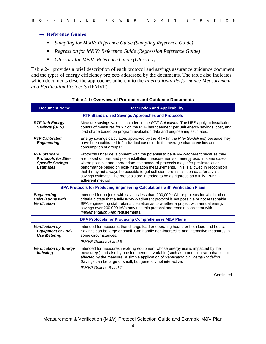- **Reference Guides** 
	- *Sampling for M&V: Reference Guide (Sampling Reference Guide)*
	- *Regression for M&V: Reference Guide (Regression Reference Guide)*
	- *Glossary for M&V: Reference Guide (Glossary)*

Table 2-1 provides a brief description of each protocol and savings assurance guidance document and the types of energy efficiency projects addressed by the documents. The table also indicates which documents describe approaches adherent to the *International Performance Measurement and Verification Protocols* (IPMVP)*.*

| <b>Document Name</b>                                                                             | <b>Description and Applicability</b>                                                                                                                                                                                                                                                                                                                                                                                                                                                                                                                 |
|--------------------------------------------------------------------------------------------------|------------------------------------------------------------------------------------------------------------------------------------------------------------------------------------------------------------------------------------------------------------------------------------------------------------------------------------------------------------------------------------------------------------------------------------------------------------------------------------------------------------------------------------------------------|
|                                                                                                  | <b>RTF Standardized Savings Approaches and Protocols</b>                                                                                                                                                                                                                                                                                                                                                                                                                                                                                             |
| <b>RTF Unit Energy</b><br><b>Savings (UES)</b>                                                   | Measure savings values, included in the RTF Guidelines. The UES apply to installation<br>counts of measures for which the RTF has "deemed" per unit energy savings, cost, and<br>load shape based on program evaluation data and engineering estimates.                                                                                                                                                                                                                                                                                              |
| <b>RTF Calibrated</b><br><b>Engineering</b>                                                      | Energy savings calculators approved by the RTF (in the RTF Guidelines) because they<br>have been calibrated to "individual cases or to the average characteristics and<br>consumption of groups."                                                                                                                                                                                                                                                                                                                                                    |
| <b>RTF Standard</b><br><b>Protocols for Site-</b><br><b>Specific Savings</b><br><b>Estimates</b> | Protocols under development with the potential to be IPMVP-adherent because they<br>are based on pre- and post-installation measurements of energy use. In some cases,<br>where possible and appropriate, the standard protocols may infer pre-installation<br>performance based on post-installation measurements. This is allowed in recognition<br>that it may not always be possible to get sufficient pre-installation data for a valid<br>savings estimate. The protocols are intended to be as rigorous as a fully IPMVP-<br>adherent method. |
|                                                                                                  | BPA Protocols for Producing Engineering Calculations with Verification Plans                                                                                                                                                                                                                                                                                                                                                                                                                                                                         |
| <b>Engineering</b><br><b>Calculations with</b><br><b>Verification</b>                            | Intended for projects with savings less than 200,000 kWh or projects for which other<br>criteria dictate that a fully IPMVP-adherent protocol is not possible or not reasonable.<br>BPA engineering staff retains discretion as to whether a project with annual energy<br>savings over 200,000 kWh may use this protocol and remain consistent with<br>Implementation Plan requirements.                                                                                                                                                            |
|                                                                                                  | <b>BPA Protocols for Producing Comprehensive M&amp;V Plans</b>                                                                                                                                                                                                                                                                                                                                                                                                                                                                                       |
| Verification by<br><b>Equipment or End-</b><br><b>Use Metering</b>                               | Intended for measures that change load or operating hours, or both load and hours.<br>Savings can be large or small. Can handle non-interactive and interactive measures in<br>some circumstances.                                                                                                                                                                                                                                                                                                                                                   |
|                                                                                                  | <b>IPMVP Options A and B</b>                                                                                                                                                                                                                                                                                                                                                                                                                                                                                                                         |
| <b>Verification by Energy</b><br><b>Indexing</b>                                                 | Intended for measures involving equipment whose energy use is impacted by the<br>measure(s) and also by one independent variable (such as production rate) that is not<br>affected by the measure. A simple application of Verification by Energy Modeling.<br>Savings can be large or small, but generally not interactive.                                                                                                                                                                                                                         |
|                                                                                                  | IPMVP Options B and C                                                                                                                                                                                                                                                                                                                                                                                                                                                                                                                                |

#### **Table 2-1: Overview of Protocols and Guidance Documents**

**Continued**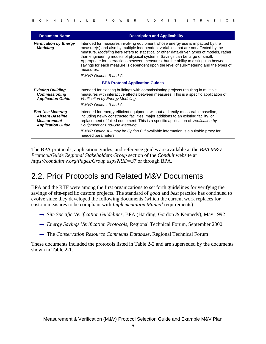| <b>Document Name</b>                                                                                | <b>Description and Applicability</b>                                                                                                                                                                                                                                                                                                                                                                                                                                                                                                           |  |  |  |  |  |  |  |  |
|-----------------------------------------------------------------------------------------------------|------------------------------------------------------------------------------------------------------------------------------------------------------------------------------------------------------------------------------------------------------------------------------------------------------------------------------------------------------------------------------------------------------------------------------------------------------------------------------------------------------------------------------------------------|--|--|--|--|--|--|--|--|
| <b>Verification by Energy</b><br><b>Modeling</b>                                                    | Intended for measures involving equipment whose energy use is impacted by the<br>measure(s) and also by multiple independent variables that are not affected by the<br>measure. Modeling here refers to statistical or other data-driven types of models, rather<br>than engineering models of physical systems. Savings can be large or small.<br>Appropriate for interactions between measures, but the ability to distinguish between<br>savings for each measure is dependent upon the level of sub-metering and the types of<br>measures. |  |  |  |  |  |  |  |  |
|                                                                                                     | IPMVP Options B and C                                                                                                                                                                                                                                                                                                                                                                                                                                                                                                                          |  |  |  |  |  |  |  |  |
| <b>BPA Protocol Application Guides</b>                                                              |                                                                                                                                                                                                                                                                                                                                                                                                                                                                                                                                                |  |  |  |  |  |  |  |  |
| <b>Existing Building</b><br><b>Commissioning</b><br><b>Application Guide</b>                        | Intended for existing buildings with commissioning projects resulting in multiple<br>measures with interactive effects between measures. This is a specific application of<br>Verification by Energy Modeling.                                                                                                                                                                                                                                                                                                                                 |  |  |  |  |  |  |  |  |
|                                                                                                     | <b>IPMVP Options B and C</b>                                                                                                                                                                                                                                                                                                                                                                                                                                                                                                                   |  |  |  |  |  |  |  |  |
| <b>End-Use Metering</b><br><b>Absent Baseline</b><br><b>Measurement</b><br><b>Application Guide</b> | Intended for energy-efficient equipment without a directly-measurable baseline,<br>including newly constructed facilities, major additions to an existing facility, or<br>replacement of failed equipment. This is a specific application of Verification by<br>Equipment or End-Use Metering.                                                                                                                                                                                                                                                 |  |  |  |  |  |  |  |  |
|                                                                                                     | <i>IPMVP Option A – may be Option B</i> if available information is a suitable proxy for<br>needed parameters                                                                                                                                                                                                                                                                                                                                                                                                                                  |  |  |  |  |  |  |  |  |

The BPA protocols, application guides, and reference guides are available at the *BPA M&V Protocol/Guide Regional Stakeholders Group* section of the *Conduit* website at *https://conduitnw.org/Pages/Group.aspx?RID=37* or through BPA.

# 2.2. Prior Protocols and Related M&V Documents

BPA and the RTF were among the first organizations to set forth guidelines for verifying the savings of site-specific custom projects. The standard of *good* and *best* practice has continued to evolve since they developed the following documents (which the current work replaces for custom measures to be compliant with *Implementation Manual* requirements):

- *Site Specific Verification Guidelines*, BPA (Harding, Gordon & Kennedy), May 1992
- *Energy Savings Verification Protocols*, Regional Technical Forum, September 2000
- The *Conservation Resource Comments Database,* Regional Technical Forum

These documents included the protocols listed in Table 2-2 and are superseded by the documents shown in Table 2-1.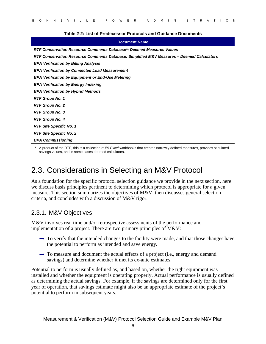| <b>Document Name</b>                                                                      |  |  |  |  |  |  |  |  |
|-------------------------------------------------------------------------------------------|--|--|--|--|--|--|--|--|
| RTF Conservation Resource Comments Database*: Deemed Measures Values                      |  |  |  |  |  |  |  |  |
| RTF Conservation Resource Comments Database: Simplified M&V Measures – Deemed Calculators |  |  |  |  |  |  |  |  |
| <b>BPA Verification by Billing Analysis</b>                                               |  |  |  |  |  |  |  |  |
| <b>BPA Verification by Connected Load Measurement</b>                                     |  |  |  |  |  |  |  |  |
| <b>BPA Verification by Equipment or End-Use Metering</b>                                  |  |  |  |  |  |  |  |  |
| <b>BPA Verification by Energy Indexing</b>                                                |  |  |  |  |  |  |  |  |
| <b>BPA Verification by Hybrid Methods</b>                                                 |  |  |  |  |  |  |  |  |
| <b>RTF Group No. 1</b>                                                                    |  |  |  |  |  |  |  |  |
| <b>RTF Group No. 2</b>                                                                    |  |  |  |  |  |  |  |  |
| <b>RTF Group No. 3</b>                                                                    |  |  |  |  |  |  |  |  |
| <b>RTF Group No. 4</b>                                                                    |  |  |  |  |  |  |  |  |
| <b>RTF Site Specific No. 1</b>                                                            |  |  |  |  |  |  |  |  |
| <b>RTF Site Specific No. 2</b>                                                            |  |  |  |  |  |  |  |  |
| <b>BPA Commissioning</b>                                                                  |  |  |  |  |  |  |  |  |
|                                                                                           |  |  |  |  |  |  |  |  |

**Table 2-2: List of Predecessor Protocols and Guidance Documents** 

\* A product of the RTF, this is a collection of 59 *Excel* workbooks that creates narrowly defined measures, provides stipulated savings values, and in some cases deemed calculators.

# 2.3. Considerations in Selecting an M&V Protocol

As a foundation for the specific protocol selection guidance we provide in the next section, here we discuss basis principles pertinent to determining which protocol is appropriate for a given measure. This section summarizes the objectives of M&V, then discusses general selection criteria, and concludes with a discussion of M&V rigor.

### 2.3.1. M&V Objectives

M&V involves real time and/or retrospective assessments of the performance and implementation of a project. There are two primary principles of M&V:

- $\rightarrow$  To verify that the intended changes to the facility were made, and that those changes have the potential to perform as intended and save energy.
- $\rightarrow$  To measure and document the actual effects of a project (i.e., energy and demand savings) and determine whether it met its ex-ante estimates.

Potential to perform is usually defined as, and based on, whether the right equipment was installed and whether the equipment is operating properly. Actual performance is usually defined as determining the actual savings. For example, if the savings are determined only for the first year of operation, that savings estimate might also be an appropriate estimate of the project's potential to perform in subsequent years.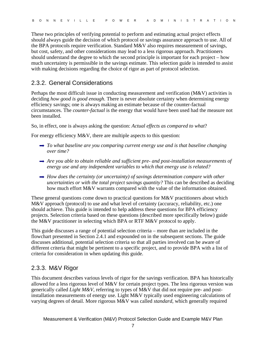These two principles of verifying potential to perform and estimating actual project effects should always guide the decision of which protocol or savings assurance approach to use. All of the BPA protocols require verification. Standard M&V also requires measurement of savings, but cost, safety, and other considerations may lead to a less rigorous approach. Practitioners should understand the degree to which the second principle is important for each project – how much uncertainty is permissible in the savings estimate. This selection guide is intended to assist with making decisions regarding the choice of rigor as part of protocol selection.

### 2.3.2. General Considerations

Perhaps the most difficult issue in conducting measurement and verification (M&V) activities is deciding *how good is good enough*. There is never absolute certainty when determining energy efficiency savings; one is always making an estimate because of the counter-factual circumstances. The *counter-factual* is the energy that would have been used had the measure not been installed.

So, in effect, one is always asking the question: *Actual effects as compared to what*?

For energy efficiency M&V, there are multiple aspects to this question:

- → *To what baseline are you comparing current energy use and is that baseline changing over time?*
- *Are you able to obtain reliable and sufficient pre- and post-installation measurements of energy use and any independent variables to which that energy use is related?*
- → *How does the certainty (or uncertainty) of savings determination compare with other uncertainties or with the total project savings quantity?* This can be described as deciding how much effort M&V warrants compared with the value of the information obtained.

These general questions come down to practical questions for M&V practitioners about which M&V approach (protocol) to use and what level of certainty (accuracy, reliability, etc.) one should achieve. This guide is intended to help address these questions for BPA efficiency projects. Selection criteria based on these questions (described more specifically below) guide the M&V practitioner in selecting which BPA or RTF M&V protocol to apply.

This guide discusses a range of potential selection criteria – more than are included in the flowchart presented in Section 2.4.1 and expounded on in the subsequent sections. The guide discusses additional, potential selection criteria so that all parties involved can be aware of different criteria that might be pertinent to a specific project, and to provide BPA with a list of criteria for consideration in when updating this guide.

# 2.3.3. M&V Rigor

This document describes various levels of rigor for the savings verification. BPA has historically allowed for a less rigorous level of M&V for certain project types. The less rigorous version was generically called *Light M&V*, referring to types of M&V that did not require pre- and postinstallation measurements of energy use. Light M&V typically used engineering calculations of varying degrees of detail. More rigorous M&V was called *standard*, which generally required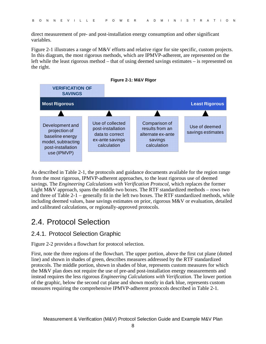direct measurement of pre- and post-installation energy consumption and other significant variables.

Figure 2-1 illustrates a range of M&V efforts and relative rigor for site specific, custom projects. In this diagram, the most rigorous methods, which are IPMVP-adherent, are represented on the left while the least rigorous method – that of using deemed savings estimates – is represented on the right.



As described in Table 2-1, the protocols and guidance documents available for the region range from the most rigorous, IPMVP-adherent approaches, to the least rigorous use of deemed savings. The *Engineering Calculations with Verification Protocol*, which replaces the former Light M&V approach, spans the middle two boxes. The RTF standardized methods – rows two and three of Table 2-1 – generally fit in the left two boxes. The RTF standardized methods, while including deemed values, base savings estimates on prior, rigorous M&V or evaluation, detailed and calibrated calculations, or regionally-approved protocols.

# 2.4. Protocol Selection

### 2.4.1. Protocol Selection Graphic

Figure 2-2 provides a flowchart for protocol selection.

First, note the three regions of the flowchart. The upper portion, above the first cut plane (dotted line) and shown in shades of green, describes measures addressed by the RTF standardized protocols. The middle portion, shown in shades of blue, represents custom measures for which the M&V plan does not require the use of pre-and post-installation energy measurements and instead requires the less rigorous *Engineering Calculations with Verification*. The lower portion of the graphic, below the second cut plane and shown mostly in dark blue, represents custom measures requiring the comprehensive IPMVP-adherent protocols described in Table 2-1.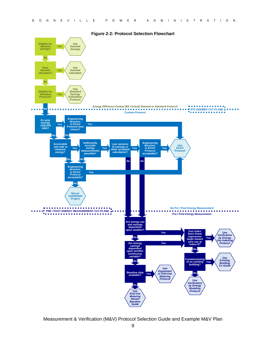

#### **Figure 2-2: Protocol Selection Flowchart**

Measurement & Verification (M&V) Protocol Selection Guide and Example M&V Plan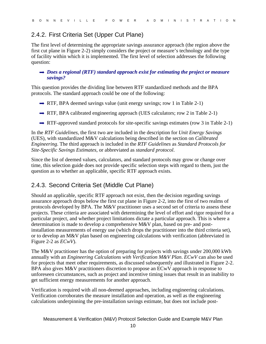# 2.4.2. First Criteria Set (Upper Cut Plane)

The first level of determining the appropriate savings assurance approach (the region above the first cut plane in Figure 2-2) simply considers the project or measure's technology and the type of facility within which it is implemented. The first level of selection addresses the following question:

#### → *Does a regional (RTF) standard approach exist for estimating the project or measure savings?*

This question provides the dividing line between RTF standardized methods and the BPA protocols. The standard approach could be one of the following:

- $\rightarrow$  RTF, BPA deemed savings value (unit energy savings; row 1 in Table 2-1)
- $\rightarrow$  RTF, BPA calibrated engineering approach (UES calculators; row 2 in Table 2-1)
- $\rightarrow$  RTF-approved standard protocols for site-specific savings estimates (row 3 in Table 2-1)

In the *RTF Guidelines*, the first two are included in the description for *Unit Energy Savings* (UES), with standardized M&V calculations being described in the section on *Calibrated Engineering*. The third approach is included in the *RTF Guidelines* as *Standard Protocols for Site-Specific Savings Estimates*, or abbreviated as *standard protocol*.

Since the list of deemed values, calculators, and standard protocols may grow or change over time, this selection guide does not provide specific selection steps with regard to them, just the question as to whether an applicable, specific RTF approach exists.

### 2.4.3. Second Criteria Set (Middle Cut Plane)

Should an applicable, specific RTF approach not exist, then the decision regarding savings assurance approach drops below the first cut plane in Figure 2-2, into the first of two realms of protocols developed by BPA. The M&V practitioner uses a second set of criteria to assess these projects. These criteria are associated with determining the level of effort and rigor required for a particular project, and whether project limitations dictate a particular approach. This is where a determination is made to develop a comprehensive M&V plan, based on pre- and postinstallation measurements of energy use (which drops the practitioner into the third criteria set), or to develop an M&V plan based on engineering calculations with verification (abbreviated in Figure 2-2 as *ECwV*).

The M&V practitioner has the option of preparing for projects with savings under 200,000 kWh annually with an *Engineering Calculations with Verification M&V Plan*. *ECwV* can also be used for projects that meet other requirements, as discussed subsequently and illustrated in Figure 2-2. BPA also gives M&V practitioners discretion to propose an ECwV approach in response to unforeseen circumstances, such as project and incentive timing issues that result in an inability to get sufficient energy measurements for another approach.

Verification is required with all non-deemed approaches, including engineering calculations. Verification corroborates the measure installation and operation, as well as the engineering calculations underpinning the pre-installation savings estimate, but does not include post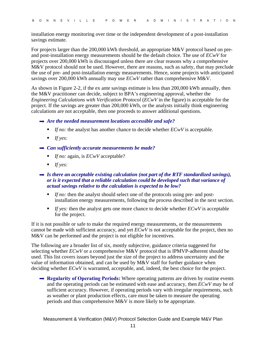installation energy monitoring over time or the independent development of a post-installation savings estimate.

For projects larger than the 200,000 kWh threshold, an appropriate M&V protocol based on preand post-installation energy measurements should be the default choice. The use of *ECwV* for projects over 200,000 kWh is discouraged unless there are clear reasons why a comprehensive M&V protocol should not be used. However, there are reasons, such as safety, that may preclude the use of pre- and post-installation energy measurements. Hence, some projects with anticipated savings over 200,000 kWh annually may use *ECwV* rather than comprehensive M&V.

As shown in Figure 2-2, if the ex ante savings estimate is less than 200,000 kWh annually, then the M&V practitioner can decide, subject to BPA's engineering approval, whether the *Engineering Calculations with Verification Protocol* (*ECwV* in the figure) is acceptable for the project. If the savings are greater than 200,000 kWh, or the analysts initially think engineering calculations are not acceptable, then one proceeds to answer additional questions.

- *Are the needed measurement locations accessible and safe?* 
	- *If no:* the analyst has another chance to decide whether *ECwV* is acceptable.
	- $\blacksquare$ *If yes:*
- *Can sufficiently accurate measurements be made?* 
	- *If no:* again, is *ECwV* acceptable?
	- *If yes:*

#### → *Is there an acceptable existing calculation (not part of the RTF standardized savings), or is it expected that a reliable calculation could be developed such that variance of actual savings relative to the calculation is expected to be low?*

- If no: then the analyst should select one of the protocols using pre- and postinstallation energy measurements, following the process described in the next section.
- $I_f$  *If yes:* then the analyst gets one more chance to decide whether  $ECW$  is acceptable for the project.

If it is not possible or safe to make the required energy measurements, or the measurements cannot be made with sufficient accuracy, and yet *ECwV* is not acceptable for the project, then no M&V can be performed and the project is not eligible for incentives.

The following are a broader list of six, mostly subjective, guidance criteria suggested for selecting whether *ECwV* or a comprehensive M&V protocol that is IPMVP-adherent should be used. This list covers issues beyond just the size of the project to address uncertainty and the value of information obtained, and can be used by M&V staff for further guidance when deciding whether *ECwV* is warranted, acceptable, and, indeed, the best choice for the project.

**→ Regularity of Operating Periods:** Where operating patterns are driven by routine events and the operating periods can be estimated with ease and accuracy, then *ECwV* may be of sufficient accuracy. However, if operating periods vary with irregular requirements, such as weather or plant production effects, care must be taken to measure the operating periods and thus comprehensive M&V is more likely to be appropriate.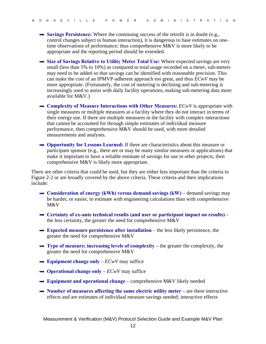- $\rightarrow$  **Savings Persistence:** Where the continuing success of the retrofit is in doubt (e.g., control changes subject to human interaction), it is dangerous to base estimates on onetime observations of performance; thus comprehensive M&V is more likely to be appropriate and the reporting period should be extended.
- → Size of Savings Relative to Utility Meter Total Use: Where expected savings are very small (less than 5% to 10%) as compared to total usage recorded on a meter, sub-meters may need to be added so that savings can be identified with reasonable precision. This can make the cost of an IPMVP-adherent approach too great, and thus *ECwV* may be more appropriate. (Fortunately, the cost of metering is declining and sub-metering is increasingly used to assist with daily facility operations, making sub-metering data more available for M&V.)
- **→ Complexity of Measure Interactions with Other Measures:** *ECwV* **is appropriate with** single measures or multiple measures at a facility where they do not interact in terms of their energy use. If there are multiple measures in the facility with complex interactions that cannot be accounted for through simple estimates of individual measure performance, then comprehensive M&V should be used, with more detailed measurements and analyses.
- → **Opportunity for Lessons Learned:** If there are characteristics about this measure or participant sponsor (e.g., there are or may be many similar measures or applications) that make it important to have a reliable estimate of savings for use in other projects, then comprehensive M&V is likely more appropriate.

There are other criteria that could be used, but they are either less important than the criteria in Figure 2-2 or are broadly covered by the above criteria. These criteria and their implications include:

- **→ Consideration of energy (kWh) versus demand savings (kW)** demand savings may be harder, or easier, to estimate with engineering calculations than with comprehensive M&V
- **Certainty of ex-ante technical results (and user or participant impact on results)** the less certainty, the greater the need for comprehensive M&V
- **Expected measure persistence after installation** the less likely persistence, the greater the need for comprehensive M&V
- **→ Type of measure; increasing levels of complexity** the greater the complexity, the greater the need for comprehensive M&V
- $\rightarrow$  **Equipment change only** *ECwV* may suffice
- $\rightarrow$  **Operational change only** *ECwV* may suffice
- **→ Equipment and operational change** comprehensive M&V likely needed
- → **Number of measures affecting the same electric utility meter** are there interactive effects and are estimates of individual measure savings needed; interactive effects

Measurement & Verification (M&V) Protocol Selection Guide and Example M&V Plan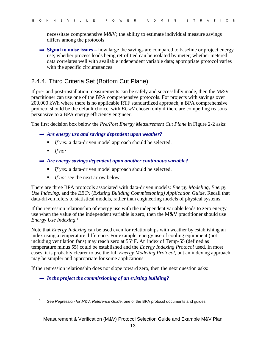necessitate comprehensive M&V; the ability to estimate individual measure savings differs among the protocols

→ **Signal to noise issues** – how large the savings are compared to baseline or project energy use; whether process loads being retrofitted can be isolated by meter; whether metered data correlates well with available independent variable data; appropriate protocol varies with the specific circumstances

# 2.4.4. Third Criteria Set (Bottom Cut Plane)

If pre- and post-installation measurements can be safely and successfully made, then the M&V practitioner can use one of the BPA comprehensive protocols. For projects with savings over 200,000 kWh where there is no applicable RTF standardized approach, a BPA comprehensive protocol should be the default choice, with *ECwV* chosen only if there are compelling reasons persuasive to a BPA energy efficiency engineer.

The first decision box below the *Pre/Post Energy Measurement Cut Plane* in Figure 2-2 asks:

- *Are energy use and savings dependent upon weather?* 
	- *If yes:* a data-driven model approach should be selected.
	- $\blacksquare$  *If no:*

 $\overline{a}$ 

- *Are energy savings dependent upon another continuous variable?* 
	- *If yes:* a data-driven model approach should be selected.
	- *If no:* see the next arrow below.

There are three BPA protocols associated with data-driven models: *Energy Modeling*, *Energy Use Indexing*, and the *EBCx* (*Existing Building Commissioning) Application Guide*. Recall that data-driven refers to statistical models, rather than engineering models of physical systems.

If the regression relationship of energy use with the independent variable leads to zero energy use when the value of the independent variable is zero, then the M&V practitioner should use *Energy Use Indexing*. 4

Note that *Energy Indexing* can be used even for relationships with weather by establishing an index using a temperature difference. For example, energy use of cooling equipment (not including ventilation fans) may reach zero at 55º F. An index of Temp-55 (defined as temperature minus 55) could be established and the *Energy Indexing Protocol* used. In most cases, it is probably clearer to use the full *Energy Modeling Protocol*, but an indexing approach may be simpler and appropriate for some applications.

If the regression relationship does not slope toward zero, then the next question asks:

*Is the project the commissioning of an existing building?* 

<sup>4</sup> See *Regression for M&V: Reference Guide*, one of the BPA protocol documents and guides.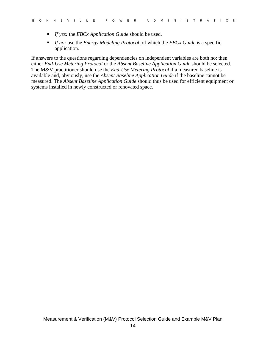- *If yes:* the *EBCx Application Guide* should be used.
- *If no:* use the *Energy Modeling Protocol*, of which the *EBCx Guide* is a specific application.

If answers to the questions regarding dependencies on independent variables are both no: then either *End-Use Metering Protocol* or the *Absent Baseline Application Guide* should be selected. The M&V practitioner should use the *End-Use Metering Protocol* if a measured baseline is available and, obviously, use the *Absent Baseline Application Guide* if the baseline cannot be measured. The *Absent Baseline Application Guide* should thus be used for efficient equipment or systems installed in newly constructed or renovated space.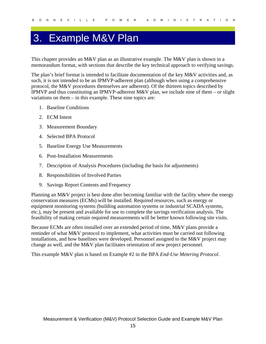# Example M&V Plan

This chapter provides an M&V plan as an illustrative example. The M&V plan is shown in a memorandum format, with sections that describe the key technical approach to verifying savings.

The plan's brief format is intended to facilitate documentation of the key M&V activities and, as such, it is not intended to be an IPMVP-adherent plan (although when using a comprehensive protocol, the M&V procedures themselves are adherent). Of the thirteen topics described by IPMVP and thus constituting an IPMVP-adherent M&V plan, we include nine of them – or slight variations on them – in this example. These nine topics are:

- 1. Baseline Conditions
- 2. ECM Intent
- 3. Measurement Boundary
- 4. Selected BPA Protocol
- 5. Baseline Energy Use Measurements
- 6. Post-Installation Measurements
- 7. Description of Analysis Procedures (including the basis for adjustments)
- 8. Responsibilities of Involved Parties
- 9. Savings Report Contents and Frequency

Planning an M&V project is best done after becoming familiar with the facility where the energy conservation measures (ECMs) will be installed. Required resources, such as energy or equipment monitoring systems (building automation systems or industrial SCADA systems, etc.), may be present and available for use to complete the savings verification analysis. The feasibility of making certain required measurements will be better known following site visits.

Because ECMs are often installed over an extended period of time, M&V plans provide a reminder of what M&V protocol to implement, what activities must be carried out following installations, and how baselines were developed. Personnel assigned to the M&V project may change as well, and the M&V plan facilitates orientation of new project personnel.

This example M&V plan is based on Example #2 in the BPA *End-Use Metering Protocol*.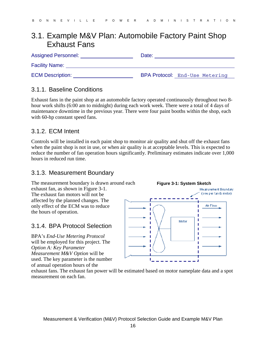# 3.1. Example M&V Plan: Automobile Factory Paint Shop Exhaust Fans

| <b>Assigned Personnel:</b> | Date:                          |
|----------------------------|--------------------------------|
| <b>Facility Name:</b>      |                                |
| <b>ECM Description:</b>    | BPA Protocol: End-Use Metering |

# 3.1.1. Baseline Conditions

Exhaust fans in the paint shop at an automobile factory operated continuously throughout two 8 hour work shifts (6:00 am to midnight) during each work week. There were a total of 4 days of maintenance downtime in the previous year. There were four paint booths within the shop, each with 60-hp constant speed fans.

# 3.1.2. ECM Intent

Controls will be installed in each paint shop to monitor air quality and shut off the exhaust fans when the paint shop is not in use, or when air quality is at acceptable levels. This is expected to reduce the number of fan operation hours significantly. Preliminary estimates indicate over 1,000 hours in reduced run time.

## 3.1.3. Measurement Boundary

The measurement boundary is drawn around each exhaust fan, as shown in Figure 3-1. The exhaust fan motors will not be affected by the planned changes. The only effect of the ECM was to reduce the hours of operation.

# 3.1.4. BPA Protocol Selection

BPA's *End-Use Metering Protocol* will be employed for this project. The *Option A: Key Parameter Measurement M&V Option* will be used. The key parameter is the number of annual operation hours of the



exhaust fans. The exhaust fan power will be estimated based on motor nameplate data and a spot measurement on each fan.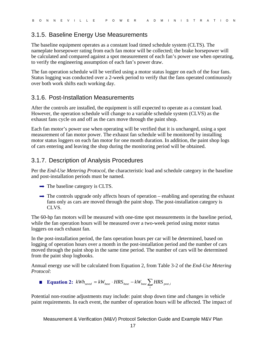## 3.1.5. Baseline Energy Use Measurements

The baseline equipment operates as a constant load timed schedule system (CLTS). The nameplate horsepower rating from each fan motor will be collected; the brake horsepower will be calculated and compared against a spot measurement of each fan's power use when operating, to verify the engineering assumption of each fan's power draw.

The fan operation schedule will be verified using a motor status logger on each of the four fans. Status logging was conducted over a 2-week period to verify that the fans operated continuously over both work shifts each working day.

### 3.1.6. Post-Installation Measurements

After the controls are installed, the equipment is still expected to operate as a constant load. However, the operation schedule will change to a variable schedule system (CLVS) as the exhaust fans cycle on and off as the cars move through the paint shop.

Each fan motor's power use when operating will be verified that it is unchanged, using a spot measurement of fan motor power. The exhaust fan schedule will be monitored by installing motor status loggers on each fan motor for one month duration. In addition, the paint shop logs of cars entering and leaving the shop during the monitoring period will be obtained.

# 3.1.7. Description of Analysis Procedures

Per the *End-Use Metering Protocol*, the characteristic load and schedule category in the baseline and post-installation periods must be named.

- $\rightarrow$  The baseline category is CLTS.
- $\rightarrow$  The controls upgrade only affects hours of operation enabling and operating the exhaust fans only as cars are moved through the paint shop. The post-installation category is CLVS.

The 60-hp fan motors will be measured with one-time spot measurements in the baseline period, while the fan operation hours will be measured over a two-week period using motor status loggers on each exhaust fan.

In the post-installation period, the fans operation hours per car will be determined, based on logging of operation hours over a month in the post-installation period and the number of cars moved through the paint shop in the same time period. The number of cars will be determined from the paint shop logbooks.

Annual energy use will be calculated from Equation 2, from Table 3-2 of the *End-Use Metering Protocol*:

**■ Equation 2:**  $kWh_{saved} = kW_{base} \cdot HRS_{base} - kW_{base} \sum_{i}$  $kWh_{saved} = kW_{\textit{base}} \cdot HRS_{\textit{base}} - kW_{\textit{base}} \sum HRS_{\textit{post,i}}$ 

Potential non-routine adjustments may include: paint shop down time and changes in vehicle paint requirements. In each event, the number of operation hours will be affected. The impact of

Measurement & Verification (M&V) Protocol Selection Guide and Example M&V Plan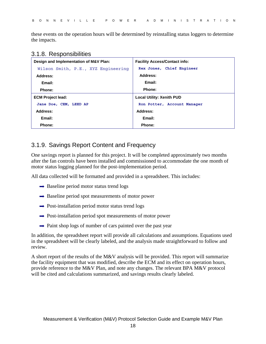|  |  |  |  | B ON N E VILLE POWER AD MINISTRATION |  |  |  |  |  |  |  |  |  |  |  |
|--|--|--|--|--------------------------------------|--|--|--|--|--|--|--|--|--|--|--|
|  |  |  |  |                                      |  |  |  |  |  |  |  |  |  |  |  |

these events on the operation hours will be determined by reinstalling status loggers to determine the impacts.

### 3.1.8. Responsibilities

| Design and Implementation of M&V Plan: | <b>Facility Access/Contact info:</b> |  |  |  |  |  |  |  |  |  |
|----------------------------------------|--------------------------------------|--|--|--|--|--|--|--|--|--|
| Wilson Smith, P.E., XYZ Engineering    | Rex Jones, Chief Engineer            |  |  |  |  |  |  |  |  |  |
| Address:                               | Address:                             |  |  |  |  |  |  |  |  |  |
| Email:                                 | Email:                               |  |  |  |  |  |  |  |  |  |
| Phone:                                 | Phone:                               |  |  |  |  |  |  |  |  |  |
| <b>ECM Project lead:</b>               | <b>Local Utility: Xenith PUD</b>     |  |  |  |  |  |  |  |  |  |
| Jane Doe, CEM, LEED AP                 | Ron Potter, Account Manager          |  |  |  |  |  |  |  |  |  |
| Address:                               | Address:                             |  |  |  |  |  |  |  |  |  |
| Email:                                 | Email:                               |  |  |  |  |  |  |  |  |  |
| <b>Phone:</b>                          | <b>Phone:</b>                        |  |  |  |  |  |  |  |  |  |

# 3.1.9. Savings Report Content and Frequency

One savings report is planned for this project. It will be completed approximately two months after the fan controls have been installed and commissioned to accommodate the one month of motor status logging planned for the post-implementation period.

All data collected will be formatted and provided in a spreadsheet. This includes:

- $\rightarrow$  Baseline period motor status trend logs
- $\rightarrow$  Baseline period spot measurements of motor power
- $\rightarrow$  Post-installation period motor status trend logs
- $\rightarrow$  Post-installation period spot measurements of motor power
- $\rightarrow$  Paint shop logs of number of cars painted over the past year

In addition, the spreadsheet report will provide all calculations and assumptions. Equations used in the spreadsheet will be clearly labeled, and the analysis made straightforward to follow and review.

A short report of the results of the M&V analysis will be provided. This report will summarize the facility equipment that was modified, describe the ECM and its effect on operation hours, provide reference to the M&V Plan, and note any changes. The relevant BPA M&V protocol will be cited and calculations summarized, and savings results clearly labeled.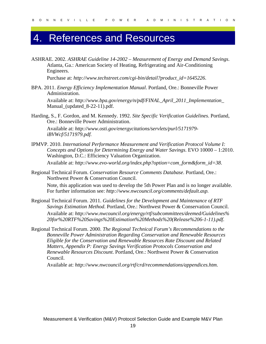# 4. References and Resources

ASHRAE. 2002. *ASHRAE Guideline 14-2002 – Measurement of Energy and Demand Savings*. Atlanta, Ga.: American Society of Heating, Refrigerating and Air-Conditioning Engineers.

Purchase at: *http://www.techstreet.com/cgi-bin/detail?product\_id=1645226*.

BPA. 2011. *Energy Efficiency Implementation Manual*. Portland, Ore.: Bonneville Power Administration.

Available at: *http://www.bpa.gov/energy/n/pdf/FINAL\_April\_2011\_Implementation\_* Manual (updated 8-22-11).pdf.

Harding, S., F. Gordon, and M. Kennedy. 1992. *Site Specific Verification Guidelines*. Portland, Ore.: Bonneville Power Administration.

Available at: *http://www.osti.gov/energycitations/servlets/purl/5171979 iBVWcf/5171979.pdf.*

IPMVP. 2010. *International Performance Measurement and Verification Protocol Volume I: Concepts and Options for Determining Energy and Water Savings*. EVO 10000 – 1:2010. Washington, D.C.: Efficiency Valuation Organization.

Available at: *http://www.evo-world.org/index.php?option=com\_form&form\_id=38*.

Regional Technical Forum. *Conservation Resource Comments Database*. Portland, Ore.: Northwest Power & Conservation Council.

Note, this application was used to develop the 5th Power Plan and is no longer available. For further information see: *http://www.nwcouncil.org/comments/default.asp.*

- Regional Technical Forum. 2011. *Guidelines for the Development and Maintenance of RTF Savings Estimation Method*. Portland, Ore.: Northwest Power & Conservation Council. Available at: *http://www.nwcouncil.org/energy/rtf/subcommittees/deemed/Guidelines% 20for%20RTF%20Savings%20Estimation%20Methods%20(Release%206-1-11).pdf*.
- Regional Technical Forum. 2000. *The Regional Technical Forum's Recommendations to the Bonneville Power Administration Regarding Conservation and Renewable Resources Eligible for the Conservation and Renewable Resources Rate Discount and Related Matters, Appendix P: Energy Savings Verification Protocols Conservation and Renewable Resources Discount*. Portland, Ore.: Northwest Power & Conservation Council.

Available at: *http://www.nwcouncil.org/rtf/crd/recommendations/appendices.htm*.